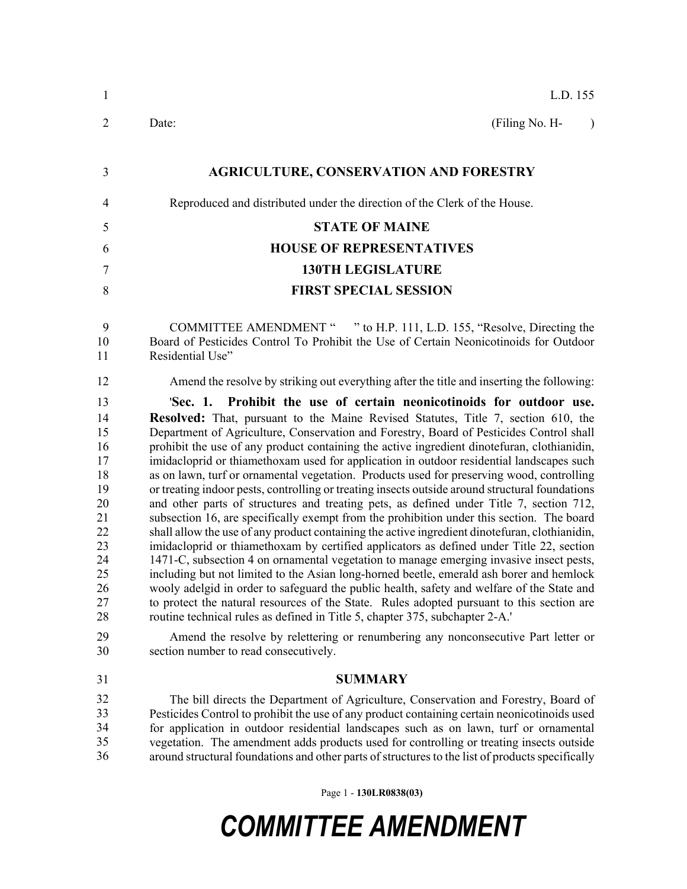| $\mathbf{1}$                                                                                             | L.D. 155                                                                                                                                                                                                                                                                                                                                                                                                                                                                                                                                                                                                                                                                                                                                                                                                                                                                                                                                                                                                                                                                                                                                                                                                                                                                                                                                                                                                                                                                                                                                                                                                                                      |
|----------------------------------------------------------------------------------------------------------|-----------------------------------------------------------------------------------------------------------------------------------------------------------------------------------------------------------------------------------------------------------------------------------------------------------------------------------------------------------------------------------------------------------------------------------------------------------------------------------------------------------------------------------------------------------------------------------------------------------------------------------------------------------------------------------------------------------------------------------------------------------------------------------------------------------------------------------------------------------------------------------------------------------------------------------------------------------------------------------------------------------------------------------------------------------------------------------------------------------------------------------------------------------------------------------------------------------------------------------------------------------------------------------------------------------------------------------------------------------------------------------------------------------------------------------------------------------------------------------------------------------------------------------------------------------------------------------------------------------------------------------------------|
| $\overline{2}$                                                                                           | Date:<br>(Filing No. H-<br>$\mathcal{E}$                                                                                                                                                                                                                                                                                                                                                                                                                                                                                                                                                                                                                                                                                                                                                                                                                                                                                                                                                                                                                                                                                                                                                                                                                                                                                                                                                                                                                                                                                                                                                                                                      |
| 3                                                                                                        | <b>AGRICULTURE, CONSERVATION AND FORESTRY</b>                                                                                                                                                                                                                                                                                                                                                                                                                                                                                                                                                                                                                                                                                                                                                                                                                                                                                                                                                                                                                                                                                                                                                                                                                                                                                                                                                                                                                                                                                                                                                                                                 |
| 4                                                                                                        | Reproduced and distributed under the direction of the Clerk of the House.                                                                                                                                                                                                                                                                                                                                                                                                                                                                                                                                                                                                                                                                                                                                                                                                                                                                                                                                                                                                                                                                                                                                                                                                                                                                                                                                                                                                                                                                                                                                                                     |
| 5                                                                                                        | <b>STATE OF MAINE</b>                                                                                                                                                                                                                                                                                                                                                                                                                                                                                                                                                                                                                                                                                                                                                                                                                                                                                                                                                                                                                                                                                                                                                                                                                                                                                                                                                                                                                                                                                                                                                                                                                         |
| 6                                                                                                        | <b>HOUSE OF REPRESENTATIVES</b>                                                                                                                                                                                                                                                                                                                                                                                                                                                                                                                                                                                                                                                                                                                                                                                                                                                                                                                                                                                                                                                                                                                                                                                                                                                                                                                                                                                                                                                                                                                                                                                                               |
| $\overline{7}$                                                                                           | <b>130TH LEGISLATURE</b>                                                                                                                                                                                                                                                                                                                                                                                                                                                                                                                                                                                                                                                                                                                                                                                                                                                                                                                                                                                                                                                                                                                                                                                                                                                                                                                                                                                                                                                                                                                                                                                                                      |
| 8                                                                                                        | <b>FIRST SPECIAL SESSION</b>                                                                                                                                                                                                                                                                                                                                                                                                                                                                                                                                                                                                                                                                                                                                                                                                                                                                                                                                                                                                                                                                                                                                                                                                                                                                                                                                                                                                                                                                                                                                                                                                                  |
| 9<br>10<br>11                                                                                            | COMMITTEE AMENDMENT " " to H.P. 111, L.D. 155, "Resolve, Directing the<br>Board of Pesticides Control To Prohibit the Use of Certain Neonicotinoids for Outdoor<br>Residential Use"                                                                                                                                                                                                                                                                                                                                                                                                                                                                                                                                                                                                                                                                                                                                                                                                                                                                                                                                                                                                                                                                                                                                                                                                                                                                                                                                                                                                                                                           |
| 12                                                                                                       | Amend the resolve by striking out everything after the title and inserting the following:                                                                                                                                                                                                                                                                                                                                                                                                                                                                                                                                                                                                                                                                                                                                                                                                                                                                                                                                                                                                                                                                                                                                                                                                                                                                                                                                                                                                                                                                                                                                                     |
| 13<br>14<br>15<br>16<br>17<br>18<br>19<br>20<br>21<br>22<br>23<br>24<br>25<br>26<br>27<br>28<br>29<br>30 | 'Sec. 1. Prohibit the use of certain neonicotinoids for outdoor use.<br><b>Resolved:</b> That, pursuant to the Maine Revised Statutes, Title 7, section 610, the<br>Department of Agriculture, Conservation and Forestry, Board of Pesticides Control shall<br>prohibit the use of any product containing the active ingredient dinotefuran, clothianidin,<br>imidacloprid or thiamethoxam used for application in outdoor residential landscapes such<br>as on lawn, turf or ornamental vegetation. Products used for preserving wood, controlling<br>or treating indoor pests, controlling or treating insects outside around structural foundations<br>and other parts of structures and treating pets, as defined under Title 7, section 712,<br>subsection 16, are specifically exempt from the prohibition under this section. The board<br>shall allow the use of any product containing the active ingredient dinote furan, clothianidin,<br>imidacloprid or thiamethoxam by certified applicators as defined under Title 22, section<br>1471-C, subsection 4 on ornamental vegetation to manage emerging invasive insect pests,<br>including but not limited to the Asian long-horned beetle, emerald ash borer and hemlock<br>wooly adelgid in order to safeguard the public health, safety and welfare of the State and<br>to protect the natural resources of the State. Rules adopted pursuant to this section are<br>routine technical rules as defined in Title 5, chapter 375, subchapter 2-A.'<br>Amend the resolve by relettering or renumbering any nonconsecutive Part letter or<br>section number to read consecutively. |
| 31<br>32<br>33<br>34<br>35<br>36                                                                         | <b>SUMMARY</b><br>The bill directs the Department of Agriculture, Conservation and Forestry, Board of<br>Pesticides Control to prohibit the use of any product containing certain neonicotinoids used<br>for application in outdoor residential landscapes such as on lawn, turf or ornamental<br>vegetation. The amendment adds products used for controlling or treating insects outside<br>around structural foundations and other parts of structures to the list of products specifically                                                                                                                                                                                                                                                                                                                                                                                                                                                                                                                                                                                                                                                                                                                                                                                                                                                                                                                                                                                                                                                                                                                                                |
|                                                                                                          |                                                                                                                                                                                                                                                                                                                                                                                                                                                                                                                                                                                                                                                                                                                                                                                                                                                                                                                                                                                                                                                                                                                                                                                                                                                                                                                                                                                                                                                                                                                                                                                                                                               |

Page 1 - **130LR0838(03)**

## *COMMITTEE AMENDMENT*